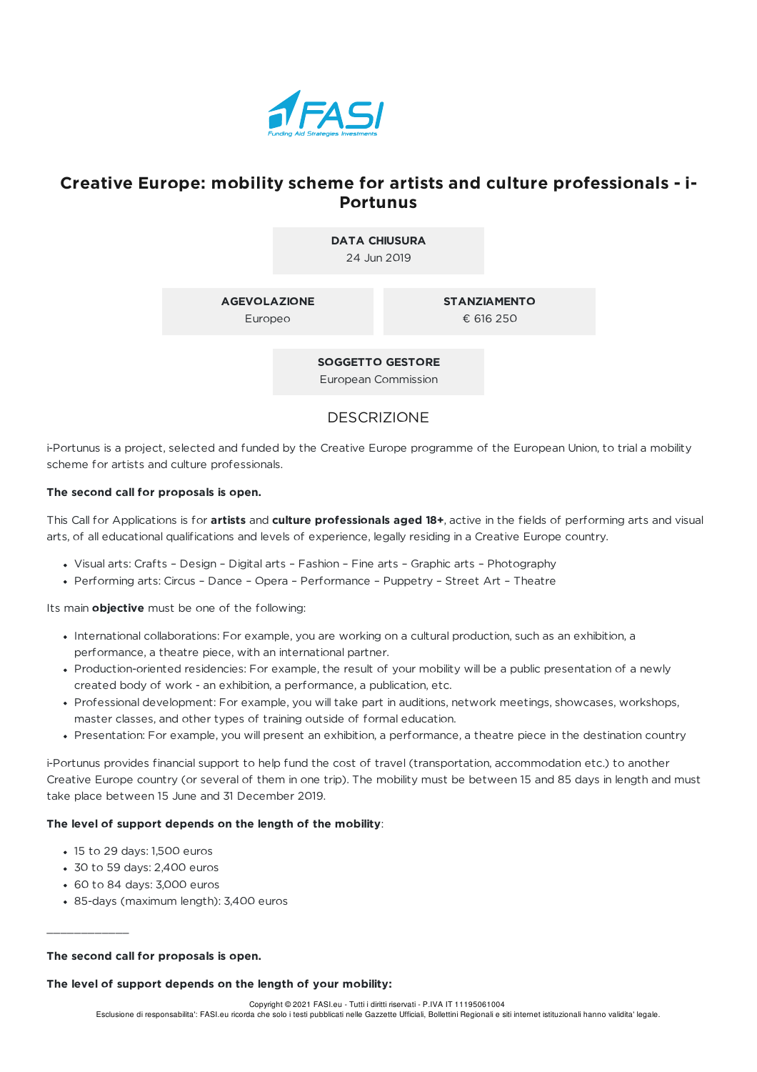

# **Creative Europe: mobility scheme for artists and culture professionals - i-Portunus**

**DATA CHIUSURA** 24 Jun 2019

**AGEVOLAZIONE**

Europeo

**STANZIAMENTO**

€ 616 250

**SOGGETTO GESTORE** European Commission

## DESCRIZIONE

i-Portunus is a project, selected and funded by the Creative Europe programme of the European Union, to trial a mobility scheme for artists and culture professionals.

### **The second call for proposals is open.**

This Call for Applications is for **artists** and **culture professionals aged 18+**, active in the fields of performing arts and visual arts, of all educational qualifications and levels of experience, legally residing in a Creative Europe country.

- Visual arts: Crafts Design Digital arts Fashion Fine arts Graphic arts Photography
- Performing arts: Circus Dance Opera Performance Puppetry Street Art Theatre

Its main **objective** must be one of the following:

- International collaborations: For example, you are working on a cultural production, such as an exhibition, a performance, a theatre piece, with an international partner.
- Production-oriented residencies: For example, the result of your mobility will be a public presentation of a newly created body of work - an exhibition, a performance, a publication, etc.
- Professional development: For example, you will take part in auditions, network meetings, showcases, workshops, master classes, and other types of training outside of formal education.
- Presentation: For example, you will present an exhibition, a performance, a theatre piece in the destination country

i-Portunus provides financial support to help fund the cost of travel (transportation, accommodation etc.) to another Creative Europe country (or several of them in one trip). The mobility must be between 15 and 85 days in length and must take place between 15 June and 31 December 2019.

### **The level of support depends on the length of the mobility**:

- 15 to 29 days: 1,500 euros
- 30 to 59 days: 2,400 euros
- 60 to 84 days: 3,000 euros

 $\frac{1}{2}$  ,  $\frac{1}{2}$  ,  $\frac{1}{2}$  ,  $\frac{1}{2}$  ,  $\frac{1}{2}$  ,  $\frac{1}{2}$  ,  $\frac{1}{2}$ 

85-days (maximum length): 3,400 euros

#### **The second call for proposals is open.**

**The level of support depends on the length of your mobility:**